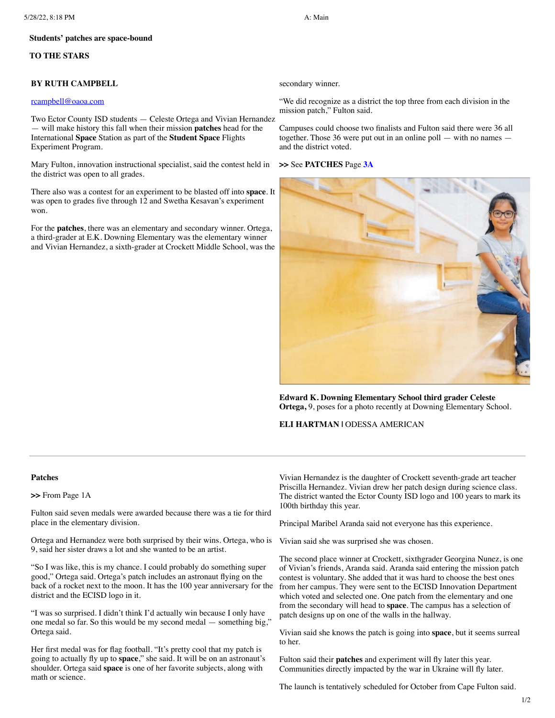#### **Students' patches are space-bound**

## **TO THE STARS**

#### **BY RUTH CAMPBELL**

#### [rcampbell@oaoa.com](mailto:rcampbell@oaoa.com)

Two Ector County ISD students — Celeste Ortega and Vivian Hernandez — will make history this fall when their mission **patches** head for the International **Space** Station as part of the **Student Space** Flights Experiment Program.

Mary Fulton, innovation instructional specialist, said the contest held in the district was open to all grades.

There also was a contest for an experiment to be blasted off into **space**. It was open to grades five through 12 and Swetha Kesavan's experiment won.

For the **patches**, there was an elementary and secondary winner. Ortega, a third-grader at E.K. Downing Elementary was the elementary winner and Vivian Hernandez, a sixth-grader at Crockett Middle School, was the

secondary winner.

"We did recognize as a district the top three from each division in the mission patch," Fulton said.

Campuses could choose two finalists and Fulton said there were 36 all together. Those 36 were put out in an online poll — with no names and the district voted.

#### **>>** See **PATCHES** Page **[3A](javascript:gotoPage("A","A03");)**



**Edward K. Downing Elementary School third grader Celeste Ortega,** 9, poses for a photo recently at Downing Elementary School.

## **ELI HARTMAN |** ODESSA AMERICAN

### **Patches**

**>>** From Page 1A

Fulton said seven medals were awarded because there was a tie for third place in the elementary division.

Ortega and Hernandez were both surprised by their wins. Ortega, who is 9, said her sister draws a lot and she wanted to be an artist.

"So I was like, this is my chance. I could probably do something super good," Ortega said. Ortega's patch includes an astronaut flying on the back of a rocket next to the moon. It has the 100 year anniversary for the district and the ECISD logo in it.

"I was so surprised. I didn't think I'd actually win because I only have one medal so far. So this would be my second medal — something big,' Ortega said.

Her first medal was for flag football. "It's pretty cool that my patch is going to actually fly up to **space**," she said. It will be on an astronaut's shoulder. Ortega said **space** is one of her favorite subjects, along with math or science.

Vivian Hernandez is the daughter of Crockett seventh-grade art teacher Priscilla Hernandez. Vivian drew her patch design during science class. The district wanted the Ector County ISD logo and 100 years to mark its 100th birthday this year.

Principal Maribel Aranda said not everyone has this experience.

Vivian said she was surprised she was chosen.

The second place winner at Crockett, sixthgrader Georgina Nunez, is one of Vivian's friends, Aranda said. Aranda said entering the mission patch contest is voluntary. She added that it was hard to choose the best ones from her campus. They were sent to the ECISD Innovation Department which voted and selected one. One patch from the elementary and one from the secondary will head to **space**. The campus has a selection of patch designs up on one of the walls in the hallway.

Vivian said she knows the patch is going into **space**, but it seems surreal to her.

Fulton said their **patches** and experiment will fly later this year. Communities directly impacted by the war in Ukraine will fly later.

The launch is tentatively scheduled for October from Cape Fulton said.